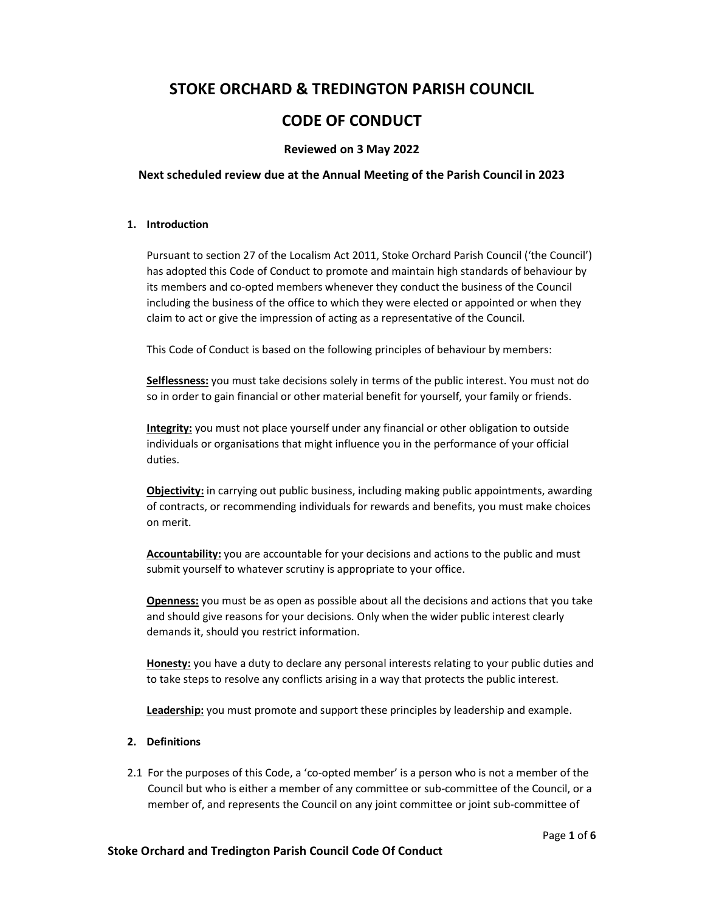# STOKE ORCHARD & TREDINGTON PARISH COUNCIL

# CODE OF CONDUCT

# Reviewed on 3 May 2022

### Next scheduled review due at the Annual Meeting of the Parish Council in 2023

#### 1. Introduction

Pursuant to section 27 of the Localism Act 2011, Stoke Orchard Parish Council ('the Council') has adopted this Code of Conduct to promote and maintain high standards of behaviour by its members and co-opted members whenever they conduct the business of the Council including the business of the office to which they were elected or appointed or when they claim to act or give the impression of acting as a representative of the Council.

This Code of Conduct is based on the following principles of behaviour by members:

Selflessness: you must take decisions solely in terms of the public interest. You must not do so in order to gain financial or other material benefit for yourself, your family or friends.

Integrity: you must not place yourself under any financial or other obligation to outside individuals or organisations that might influence you in the performance of your official duties.

Objectivity: in carrying out public business, including making public appointments, awarding of contracts, or recommending individuals for rewards and benefits, you must make choices on merit.

Accountability: you are accountable for your decisions and actions to the public and must submit yourself to whatever scrutiny is appropriate to your office.

Openness: you must be as open as possible about all the decisions and actions that you take and should give reasons for your decisions. Only when the wider public interest clearly demands it, should you restrict information.

Honesty: you have a duty to declare any personal interests relating to your public duties and to take steps to resolve any conflicts arising in a way that protects the public interest.

Leadership: you must promote and support these principles by leadership and example.

#### 2. Definitions

2.1 For the purposes of this Code, a 'co-opted member' is a person who is not a member of the Council but who is either a member of any committee or sub-committee of the Council, or a member of, and represents the Council on any joint committee or joint sub-committee of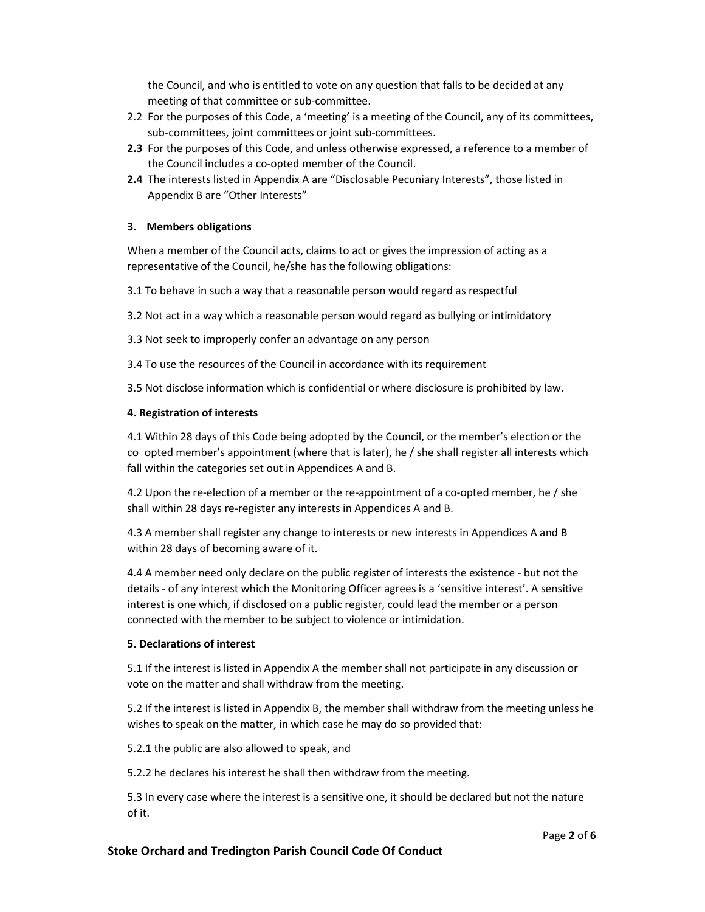the Council, and who is entitled to vote on any question that falls to be decided at any meeting of that committee or sub-committee.

- 2.2 For the purposes of this Code, a 'meeting' is a meeting of the Council, any of its committees, sub-committees, joint committees or joint sub-committees.
- 2.3 For the purposes of this Code, and unless otherwise expressed, a reference to a member of the Council includes a co-opted member of the Council.
- 2.4 The interests listed in Appendix A are "Disclosable Pecuniary Interests", those listed in Appendix B are "Other Interests"

## 3. Members obligations

When a member of the Council acts, claims to act or gives the impression of acting as a representative of the Council, he/she has the following obligations:

3.1 To behave in such a way that a reasonable person would regard as respectful

- 3.2 Not act in a way which a reasonable person would regard as bullying or intimidatory
- 3.3 Not seek to improperly confer an advantage on any person
- 3.4 To use the resources of the Council in accordance with its requirement

3.5 Not disclose information which is confidential or where disclosure is prohibited by law.

## 4. Registration of interests

4.1 Within 28 days of this Code being adopted by the Council, or the member's election or the co opted member's appointment (where that is later), he / she shall register all interests which fall within the categories set out in Appendices A and B.

4.2 Upon the re-election of a member or the re-appointment of a co-opted member, he / she shall within 28 days re-register any interests in Appendices A and B.

4.3 A member shall register any change to interests or new interests in Appendices A and B within 28 days of becoming aware of it.

4.4 A member need only declare on the public register of interests the existence - but not the details - of any interest which the Monitoring Officer agrees is a 'sensitive interest'. A sensitive interest is one which, if disclosed on a public register, could lead the member or a person connected with the member to be subject to violence or intimidation.

#### 5. Declarations of interest

5.1 If the interest is listed in Appendix A the member shall not participate in any discussion or vote on the matter and shall withdraw from the meeting.

5.2 If the interest is listed in Appendix B, the member shall withdraw from the meeting unless he wishes to speak on the matter, in which case he may do so provided that:

5.2.1 the public are also allowed to speak, and

5.2.2 he declares his interest he shall then withdraw from the meeting.

5.3 In every case where the interest is a sensitive one, it should be declared but not the nature of it.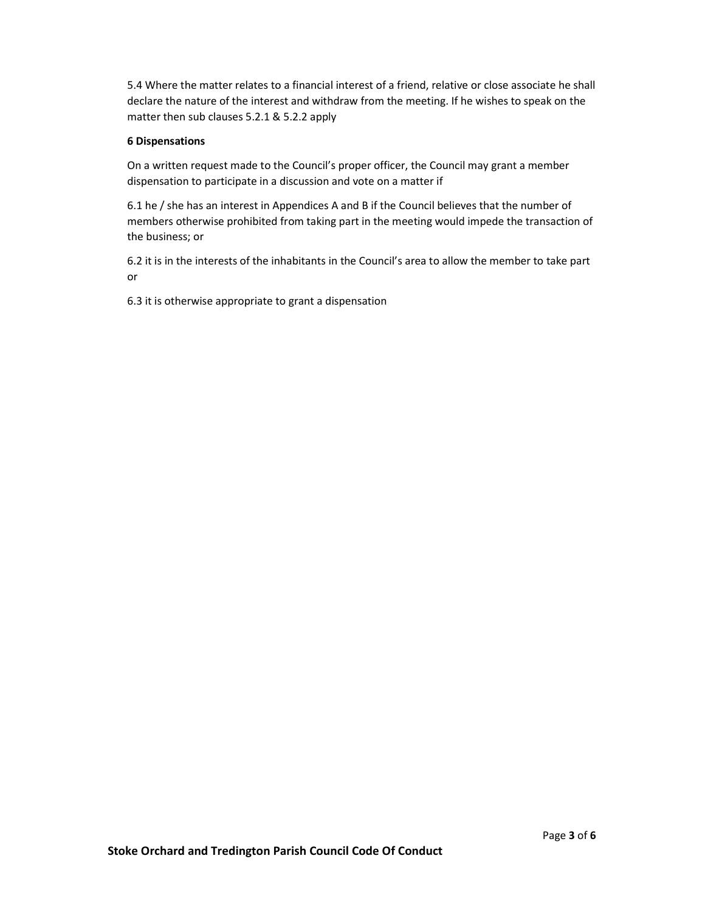5.4 Where the matter relates to a financial interest of a friend, relative or close associate he shall declare the nature of the interest and withdraw from the meeting. If he wishes to speak on the matter then sub clauses 5.2.1 & 5.2.2 apply

### 6 Dispensations

On a written request made to the Council's proper officer, the Council may grant a member dispensation to participate in a discussion and vote on a matter if

6.1 he / she has an interest in Appendices A and B if the Council believes that the number of members otherwise prohibited from taking part in the meeting would impede the transaction of the business; or

6.2 it is in the interests of the inhabitants in the Council's area to allow the member to take part or

6.3 it is otherwise appropriate to grant a dispensation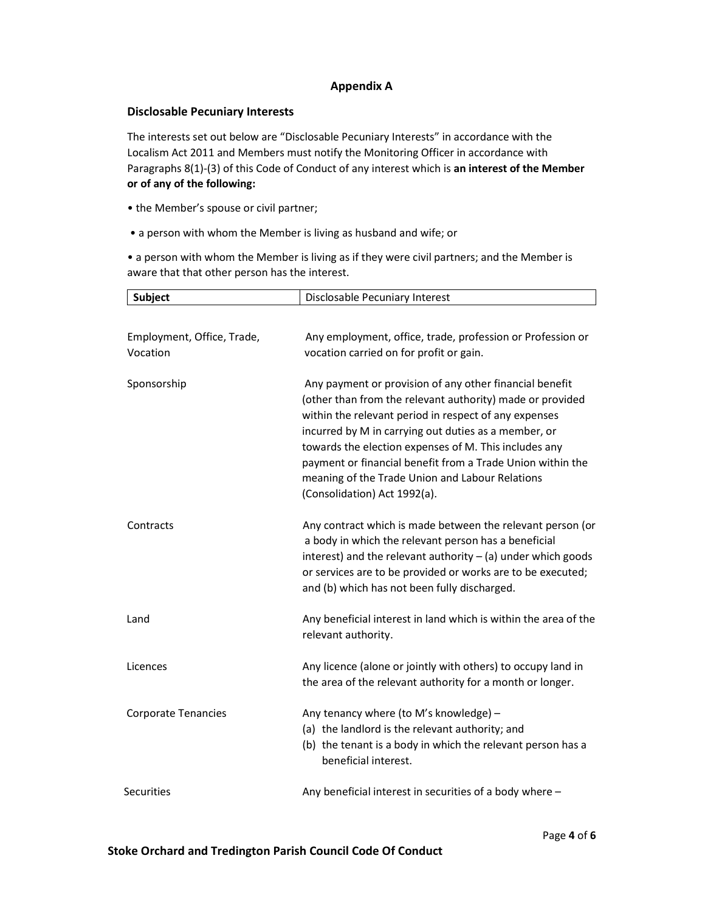# Appendix A

### Disclosable Pecuniary Interests

The interests set out below are "Disclosable Pecuniary Interests" in accordance with the Localism Act 2011 and Members must notify the Monitoring Officer in accordance with Paragraphs 8(1)-(3) of this Code of Conduct of any interest which is an interest of the Member or of any of the following:

- the Member's spouse or civil partner;
- a person with whom the Member is living as husband and wife; or

• a person with whom the Member is living as if they were civil partners; and the Member is aware that that other person has the interest.

| <b>Subject</b>             | Disclosable Pecuniary Interest                                                                                                                                                                                                                                                                                                                                                                                                                  |
|----------------------------|-------------------------------------------------------------------------------------------------------------------------------------------------------------------------------------------------------------------------------------------------------------------------------------------------------------------------------------------------------------------------------------------------------------------------------------------------|
|                            |                                                                                                                                                                                                                                                                                                                                                                                                                                                 |
| Employment, Office, Trade, | Any employment, office, trade, profession or Profession or                                                                                                                                                                                                                                                                                                                                                                                      |
| Vocation                   | vocation carried on for profit or gain.                                                                                                                                                                                                                                                                                                                                                                                                         |
| Sponsorship                | Any payment or provision of any other financial benefit<br>(other than from the relevant authority) made or provided<br>within the relevant period in respect of any expenses<br>incurred by M in carrying out duties as a member, or<br>towards the election expenses of M. This includes any<br>payment or financial benefit from a Trade Union within the<br>meaning of the Trade Union and Labour Relations<br>(Consolidation) Act 1992(a). |
| Contracts                  | Any contract which is made between the relevant person (or<br>a body in which the relevant person has a beneficial<br>interest) and the relevant authority $-$ (a) under which goods<br>or services are to be provided or works are to be executed;<br>and (b) which has not been fully discharged.                                                                                                                                             |
| Land                       | Any beneficial interest in land which is within the area of the<br>relevant authority.                                                                                                                                                                                                                                                                                                                                                          |
| Licences                   | Any licence (alone or jointly with others) to occupy land in<br>the area of the relevant authority for a month or longer.                                                                                                                                                                                                                                                                                                                       |
| <b>Corporate Tenancies</b> | Any tenancy where (to M's knowledge) -<br>(a) the landlord is the relevant authority; and<br>(b) the tenant is a body in which the relevant person has a<br>beneficial interest.                                                                                                                                                                                                                                                                |
| <b>Securities</b>          | Any beneficial interest in securities of a body where -                                                                                                                                                                                                                                                                                                                                                                                         |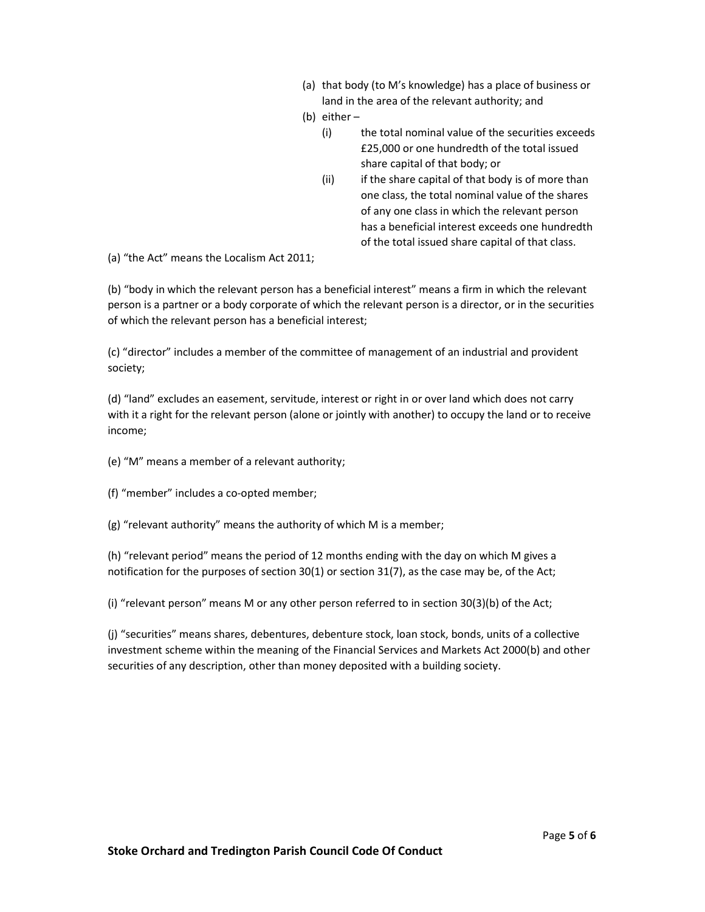- (a) that body (to M's knowledge) has a place of business or land in the area of the relevant authority; and
- (b) either
	- (i) the total nominal value of the securities exceeds £25,000 or one hundredth of the total issued share capital of that body; or
	- (ii) if the share capital of that body is of more than one class, the total nominal value of the shares of any one class in which the relevant person has a beneficial interest exceeds one hundredth of the total issued share capital of that class.

(a) "the Act" means the Localism Act 2011;

(b) "body in which the relevant person has a beneficial interest" means a firm in which the relevant person is a partner or a body corporate of which the relevant person is a director, or in the securities of which the relevant person has a beneficial interest;

(c) "director" includes a member of the committee of management of an industrial and provident society;

(d) "land" excludes an easement, servitude, interest or right in or over land which does not carry with it a right for the relevant person (alone or jointly with another) to occupy the land or to receive income;

- (e) "M" means a member of a relevant authority;
- (f) "member" includes a co-opted member;
- (g) "relevant authority" means the authority of which M is a member;

(h) "relevant period" means the period of 12 months ending with the day on which M gives a notification for the purposes of section 30(1) or section 31(7), as the case may be, of the Act;

(i) "relevant person" means M or any other person referred to in section 30(3)(b) of the Act;

(j) "securities" means shares, debentures, debenture stock, loan stock, bonds, units of a collective investment scheme within the meaning of the Financial Services and Markets Act 2000(b) and other securities of any description, other than money deposited with a building society.